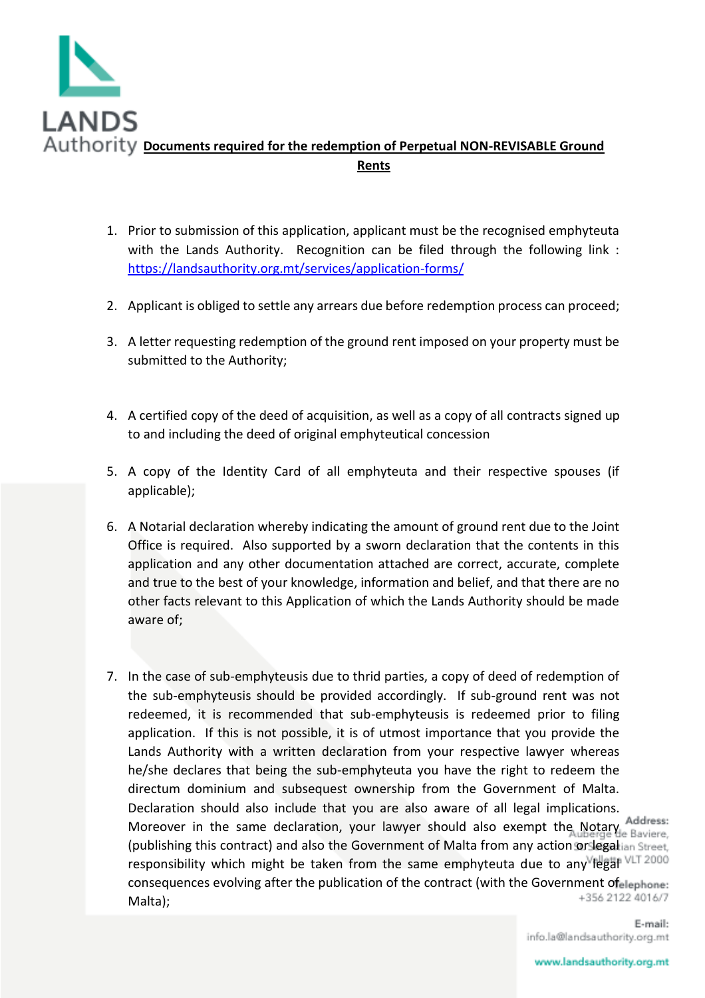

- 1. Prior to submission of this application, applicant must be the recognised emphyteuta with the Lands Authority. Recognition can be filed through the following link : <https://landsauthority.org.mt/services/application-forms/>
- 2. Applicant is obliged to settle any arrears due before redemption process can proceed;
- 3. A letter requesting redemption of the ground rent imposed on your property must be submitted to the Authority;
- 4. A certified copy of the deed of acquisition, as well as a copy of all contracts signed up to and including the deed of original emphyteutical concession
- 5. A copy of the Identity Card of all emphyteuta and their respective spouses (if applicable);
- 6. A Notarial declaration whereby indicating the amount of ground rent due to the Joint Office is required. Also supported by a sworn declaration that the contents in this application and any other documentation attached are correct, accurate, complete and true to the best of your knowledge, information and belief, and that there are no other facts relevant to this Application of which the Lands Authority should be made aware of;
- 7. In the case of sub-emphyteusis due to thrid parties, a copy of deed of redemption of the sub-emphyteusis should be provided accordingly. If sub-ground rent was not redeemed, it is recommended that sub-emphyteusis is redeemed prior to filing application. If this is not possible, it is of utmost importance that you provide the Lands Authority with a written declaration from your respective lawyer whereas he/she declares that being the sub-emphyteuta you have the right to redeem the directum dominium and subsequest ownership from the Government of Malta. Declaration should also include that you are also aware of all legal implications. Moreover in the same declaration, your lawyer should also exempt the Notary Address: (publishing this contract) and also the Government of Malta from any action or legalian Street. responsibility which might be taken from the same emphyteuta due to any legal  $VLT 2000$ consequences evolving after the publication of the contract (with the Government of elephone: +356 2122 4016/7 Malta);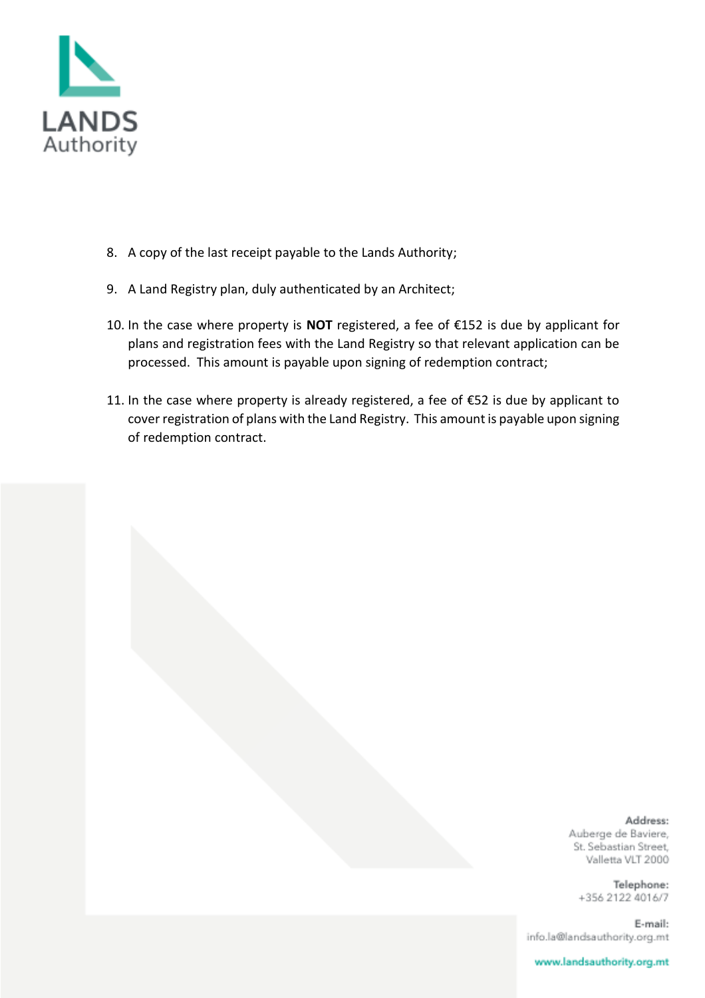

- 8. A copy of the last receipt payable to the Lands Authority;
- 9. A Land Registry plan, duly authenticated by an Architect;
- 10. In the case where property is **NOT** registered, a fee of €152 is due by applicant for plans and registration fees with the Land Registry so that relevant application can be processed. This amount is payable upon signing of redemption contract;
- 11. In the case where property is already registered, a fee of €52 is due by applicant to cover registration of plans with the Land Registry. This amount is payable upon signing of redemption contract.

Address: Auberge de Baviere, St. Sebastian Street, Valletta VLT 2000

Telephone: +356 2122 4016/7

E-mail: info.la@landsauthority.org.mt

www.landsauthority.org.mt